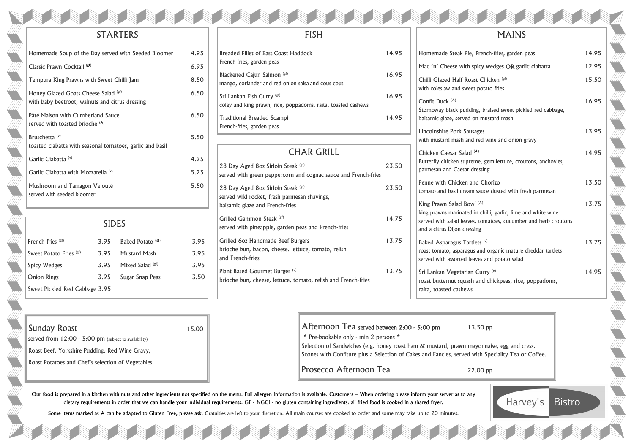## MAINS

| Homemade Steak Pie, French-fries, garden peas                                                                                                                                              | 14.95 |
|--------------------------------------------------------------------------------------------------------------------------------------------------------------------------------------------|-------|
| Mac 'n' Cheese with spicy wedges OR garlic ciabatta                                                                                                                                        | 12.95 |
| Chilli Glazed Half Roast Chicken (gf)<br>with coleslaw and sweet potato fries                                                                                                              | 15.50 |
| Confit Duck (A)<br>Stornoway black pudding, braised sweet pickled red cabbage,<br>balsamic glaze, served on mustard mash                                                                   | 16.95 |
| Lincolnshire Pork Sausages<br>with mustard mash and red wine and onion gravy                                                                                                               | 13.95 |
| Chicken Caesar Salad <sup>(A)</sup><br>Butterfly chicken supreme, gem lettuce, croutons, anchovies,<br>parmesan and Caesar dressing                                                        | 14.95 |
| Penne with Chicken and Chorizo<br>tomato and basil cream sauce dusted with fresh parmesan                                                                                                  | 13.50 |
| King Prawn Salad Bowl (A)<br>king prawns marinated in chilli, garlic, lime and white wine<br>served with salad leaves, tomatoes, cucumber and herb croutons<br>and a citrus Dijon dressing | 13.75 |
| Baked Asparagus Tartlets <sup>(v)</sup><br>roast tomato, asparagus and organic mature cheddar tartlets<br>served with assorted leaves and potato salad                                     | 13.75 |
| Sri Lankan Vegetarian Curry (v)<br>roast butternut squash and chickpeas, rice, poppadoms,                                                                                                  | 14.95 |

yonnaise, egg and cress. ith Speciality Tea or Coffee.



**Bistro** 

raita, toasted cashews

### STARTERS

28 Day Aged 8oz Sirloin Steak  $(F)$  23.50 served wild rocket, fresh parmesan shavings, balsamic glaze and French-fries Grilled Gammon Steak (gf) 14.75 served with pineapple, garden peas and French-fries Grilled 6oz Handmade Beef Burgers 13.75 brioche bun, bacon, cheese. lettuce, tomato, relish and French-fries Plant Based Gourmet Burger (v) 13.75 brioche bun, cheese, lettuce, tomato, relish and French-fries

Mac 'n' Cheese with spic Chilli Glazed Half Roast with coleslaw and sweet potator Confit Duck (A) Stornoway black pudding, balsamic glaze, served on Lincolnshire Pork Sausage with mustard mash and red Chicken Caesar Salad (A) Butterfly chicken supreme parmesan and Caesar dres Penne with Chicken and tomato and basil cream sat King Prawn Salad Bowl (A) king prawns marinated in served with salad leaves, to and a citrus Dijon dressing **Baked Asparagus Tartlets** roast tomato, asparagus and served with assorted leaves Sri Lankan Vegetarian C roast butternut squash and

| Homemade Soup of the Day served with Seeded Bloomer                                     | 4.95 |
|-----------------------------------------------------------------------------------------|------|
| Classic Prawn Cocktail (gf)                                                             | 6.95 |
| Tempura King Prawns with Sweet Chilli Jam                                               | 8.50 |
| Honey Glazed Goats Cheese Salad (sf)<br>with baby beetroot, walnuts and citrus dressing | 6.50 |
| Pâté Maison with Cumberland Sauce<br>served with toasted brioche <sup>(A)</sup>         | 6.50 |
| Bruschetta <sup>(v)</sup><br>toasted ciabatta with seasonal tomatoes, garlic and basil  | 5.50 |
| Garlic Ciabatta <sup>(v)</sup>                                                          | 4.25 |
| Garlic Ciabatta with Mozzarella (v)                                                     | 5.25 |
| Mushroom and Tarragon Velouté<br>served with seeded bloomer                             | 5.50 |
|                                                                                         |      |

#### FISH

| <b>Breaded Fillet of East Coast Haddock</b><br>French-fries, garden peas                             | 14.95 |
|------------------------------------------------------------------------------------------------------|-------|
| Blackened Cajun Salmon (gf)<br>mango, coriander and red onion salsa and cous cous                    | 16.95 |
| Sri Lankan Fish Curry (gf)<br>coley and king prawn, rice, poppadoms, raita, toasted cashews          | 16.95 |
| <b>Traditional Breaded Scampi</b><br>French-fries, garden peas                                       | 14.95 |
|                                                                                                      |       |
| <b>CHAR GRILL</b>                                                                                    |       |
| 28 Day Aged 8oz Sirloin Steak (gf)<br>served with green peppercorn and cognac sauce and French-fries | 23.50 |

# **Sunday Roast** 15.00 served from 12:00 - 5:00 pm (subject to availability) Roast Beef, Yorkshire Pudding, Red Wine Gravy, Roast Potatoes and Chef's selection of Vegetables

| <b>SIDES</b>                   |      |                              |      |
|--------------------------------|------|------------------------------|------|
| French-fries (gf)              | 3.95 | Baked Potato <sup>(gt)</sup> | 3.95 |
| Sweet Potato Fries (gf)        | 3.95 | <b>Mustard Mash</b>          | 3.95 |
| <b>Spicy Wedges</b>            | 3.95 | Mixed Salad (gf)             | 3.95 |
| <b>Onion Rings</b>             | 3.95 | Sugar Snap Peas              | 3.50 |
| Sweet Pickled Red Cabbage 3.95 |      |                              |      |

| Prosecco Afternoon Tea                                                        | $22.00$ pp |
|-------------------------------------------------------------------------------|------------|
| Scones with Confiture plus a Selection of Cakes and Fancies, served with Spee |            |
| Selection of Sandwiches (e.g. honey roast ham & mustard, prawn mayonnais      |            |
| * Pre-bookable only - min 2 persons *                                         |            |
| Afternoon Tea served between 2:00 - 5:00 pm                                   | $13.50$ pp |

Our food is prepared in a kitchen with nuts and other ingredients not specified on the menu. Full allergen Information is available. Customers – When ordering please inform your server as to any dietary requirements in order that we can handle your individual requirements. GF - NGCI - no gluten containing ingredients: all fried food is cooked in a shared fryer.

Some items marked as A can be adapted to Gluten Free, please ask. Gratuities are left to your discretion. All main courses are cooked to order and some may take up to 20 minutes.